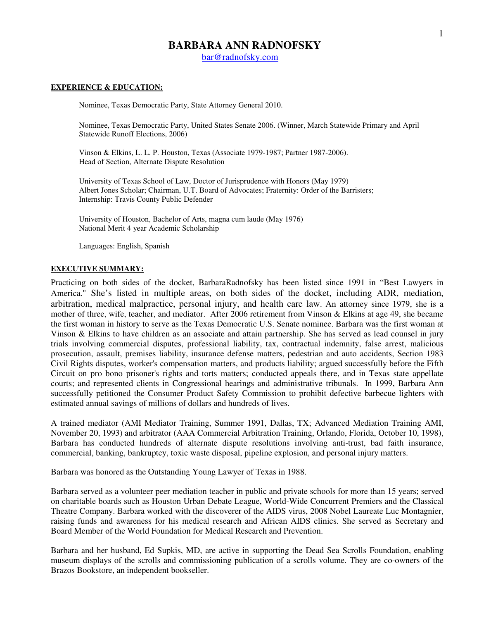# **BARBARA ANN RADNOFSKY**

bar@radnofsky.com

# **EXPERIENCE & EDUCATION:**

Nominee, Texas Democratic Party, State Attorney General 2010.

Nominee, Texas Democratic Party, United States Senate 2006. (Winner, March Statewide Primary and April Statewide Runoff Elections, 2006)

Vinson & Elkins, L. L. P. Houston, Texas (Associate 1979-1987; Partner 1987-2006). Head of Section, Alternate Dispute Resolution

University of Texas School of Law, Doctor of Jurisprudence with Honors (May 1979) Albert Jones Scholar; Chairman, U.T. Board of Advocates; Fraternity: Order of the Barristers; Internship: Travis County Public Defender

University of Houston, Bachelor of Arts, magna cum laude (May 1976) National Merit 4 year Academic Scholarship

Languages: English, Spanish

## **EXECUTIVE SUMMARY:**

Practicing on both sides of the docket, BarbaraRadnofsky has been listed since 1991 in "Best Lawyers in America." She's listed in multiple areas, on both sides of the docket, including ADR, mediation, arbitration, medical malpractice, personal injury, and health care law. An attorney since 1979, she is a mother of three, wife, teacher, and mediator. After 2006 retirement from Vinson & Elkins at age 49, she became the first woman in history to serve as the Texas Democratic U.S. Senate nominee. Barbara was the first woman at Vinson & Elkins to have children as an associate and attain partnership. She has served as lead counsel in jury trials involving commercial disputes, professional liability, tax, contractual indemnity, false arrest, malicious prosecution, assault, premises liability, insurance defense matters, pedestrian and auto accidents, Section 1983 Civil Rights disputes, worker's compensation matters, and products liability; argued successfully before the Fifth Circuit on pro bono prisoner's rights and torts matters; conducted appeals there, and in Texas state appellate courts; and represented clients in Congressional hearings and administrative tribunals. In 1999, Barbara Ann successfully petitioned the Consumer Product Safety Commission to prohibit defective barbecue lighters with estimated annual savings of millions of dollars and hundreds of lives.

A trained mediator (AMI Mediator Training, Summer 1991, Dallas, TX; Advanced Mediation Training AMI, November 20, 1993) and arbitrator (AAA Commercial Arbitration Training, Orlando, Florida, October 10, 1998), Barbara has conducted hundreds of alternate dispute resolutions involving anti-trust, bad faith insurance, commercial, banking, bankruptcy, toxic waste disposal, pipeline explosion, and personal injury matters.

Barbara was honored as the Outstanding Young Lawyer of Texas in 1988.

Barbara served as a volunteer peer mediation teacher in public and private schools for more than 15 years; served on charitable boards such as Houston Urban Debate League, World-Wide Concurrent Premiers and the Classical Theatre Company. Barbara worked with the discoverer of the AIDS virus, 2008 Nobel Laureate Luc Montagnier, raising funds and awareness for his medical research and African AIDS clinics. She served as Secretary and Board Member of the World Foundation for Medical Research and Prevention.

Barbara and her husband, Ed Supkis, MD, are active in supporting the Dead Sea Scrolls Foundation, enabling museum displays of the scrolls and commissioning publication of a scrolls volume. They are co-owners of the Brazos Bookstore, an independent bookseller.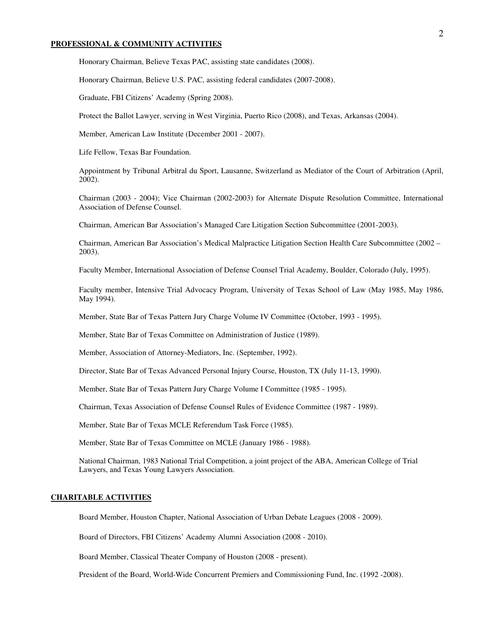#### **PROFESSIONAL & COMMUNITY ACTIVITIES**

Honorary Chairman, Believe Texas PAC, assisting state candidates (2008).

Honorary Chairman, Believe U.S. PAC, assisting federal candidates (2007-2008).

Graduate, FBI Citizens' Academy (Spring 2008).

Protect the Ballot Lawyer, serving in West Virginia, Puerto Rico (2008), and Texas, Arkansas (2004).

Member, American Law Institute (December 2001 - 2007).

Life Fellow, Texas Bar Foundation.

Appointment by Tribunal Arbitral du Sport, Lausanne, Switzerland as Mediator of the Court of Arbitration (April, 2002).

Chairman (2003 - 2004); Vice Chairman (2002-2003) for Alternate Dispute Resolution Committee, International Association of Defense Counsel.

Chairman, American Bar Association's Managed Care Litigation Section Subcommittee (2001-2003).

Chairman, American Bar Association's Medical Malpractice Litigation Section Health Care Subcommittee (2002 – 2003).

Faculty Member, International Association of Defense Counsel Trial Academy, Boulder, Colorado (July, 1995).

Faculty member, Intensive Trial Advocacy Program, University of Texas School of Law (May 1985, May 1986, May 1994).

Member, State Bar of Texas Pattern Jury Charge Volume IV Committee (October, 1993 - 1995).

Member, State Bar of Texas Committee on Administration of Justice (1989).

Member, Association of Attorney-Mediators, Inc. (September, 1992).

Director, State Bar of Texas Advanced Personal Injury Course, Houston, TX (July 11-13, 1990).

Member, State Bar of Texas Pattern Jury Charge Volume I Committee (1985 - 1995).

Chairman, Texas Association of Defense Counsel Rules of Evidence Committee (1987 - 1989).

Member, State Bar of Texas MCLE Referendum Task Force (1985).

Member, State Bar of Texas Committee on MCLE (January 1986 - 1988).

National Chairman, 1983 National Trial Competition, a joint project of the ABA, American College of Trial Lawyers, and Texas Young Lawyers Association.

## **CHARITABLE ACTIVITIES**

Board Member, Houston Chapter, National Association of Urban Debate Leagues (2008 - 2009).

Board of Directors, FBI Citizens' Academy Alumni Association (2008 - 2010).

Board Member, Classical Theater Company of Houston (2008 - present).

President of the Board, World-Wide Concurrent Premiers and Commissioning Fund, Inc. (1992 -2008).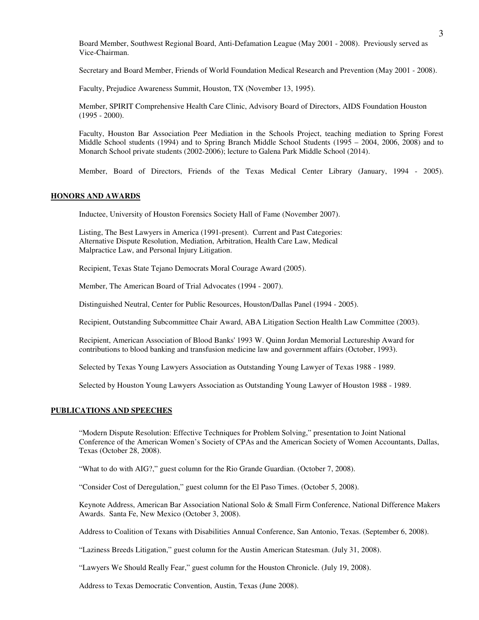Board Member, Southwest Regional Board, Anti-Defamation League (May 2001 - 2008). Previously served as Vice-Chairman.

Secretary and Board Member, Friends of World Foundation Medical Research and Prevention (May 2001 - 2008).

Faculty, Prejudice Awareness Summit, Houston, TX (November 13, 1995).

Member, SPIRIT Comprehensive Health Care Clinic, Advisory Board of Directors, AIDS Foundation Houston (1995 - 2000).

Faculty, Houston Bar Association Peer Mediation in the Schools Project, teaching mediation to Spring Forest Middle School students (1994) and to Spring Branch Middle School Students (1995 – 2004, 2006, 2008) and to Monarch School private students (2002-2006); lecture to Galena Park Middle School (2014).

Member, Board of Directors, Friends of the Texas Medical Center Library (January, 1994 - 2005).

## **HONORS AND AWARDS**

Inductee, University of Houston Forensics Society Hall of Fame (November 2007).

Listing, The Best Lawyers in America (1991-present). Current and Past Categories: Alternative Dispute Resolution, Mediation, Arbitration, Health Care Law, Medical Malpractice Law, and Personal Injury Litigation.

Recipient, Texas State Tejano Democrats Moral Courage Award (2005).

Member, The American Board of Trial Advocates (1994 - 2007).

Distinguished Neutral, Center for Public Resources, Houston/Dallas Panel (1994 - 2005).

Recipient, Outstanding Subcommittee Chair Award, ABA Litigation Section Health Law Committee (2003).

Recipient, American Association of Blood Banks' 1993 W. Quinn Jordan Memorial Lectureship Award for contributions to blood banking and transfusion medicine law and government affairs (October, 1993).

Selected by Texas Young Lawyers Association as Outstanding Young Lawyer of Texas 1988 - 1989.

Selected by Houston Young Lawyers Association as Outstanding Young Lawyer of Houston 1988 - 1989.

# **PUBLICATIONS AND SPEECHES**

"Modern Dispute Resolution: Effective Techniques for Problem Solving," presentation to Joint National Conference of the American Women's Society of CPAs and the American Society of Women Accountants, Dallas, Texas (October 28, 2008).

"What to do with AIG?," guest column for the Rio Grande Guardian. (October 7, 2008).

"Consider Cost of Deregulation," guest column for the El Paso Times. (October 5, 2008).

Keynote Address, American Bar Association National Solo & Small Firm Conference, National Difference Makers Awards. Santa Fe, New Mexico (October 3, 2008).

Address to Coalition of Texans with Disabilities Annual Conference, San Antonio, Texas. (September 6, 2008).

"Laziness Breeds Litigation," guest column for the Austin American Statesman. (July 31, 2008).

"Lawyers We Should Really Fear," guest column for the Houston Chronicle. (July 19, 2008).

Address to Texas Democratic Convention, Austin, Texas (June 2008).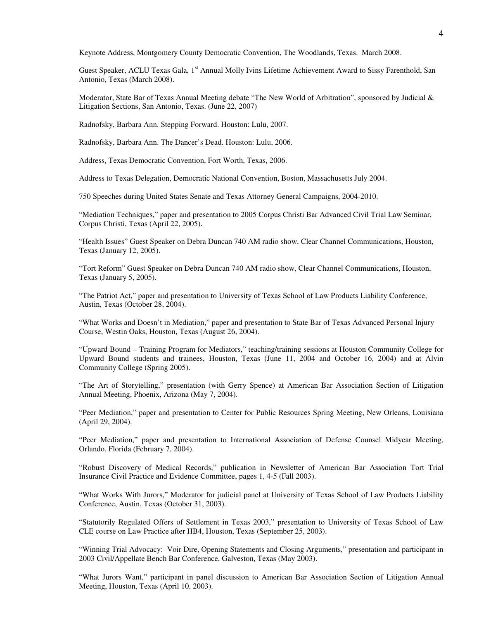Keynote Address, Montgomery County Democratic Convention, The Woodlands, Texas. March 2008.

Guest Speaker, ACLU Texas Gala, 1<sup>st</sup> Annual Molly Ivins Lifetime Achievement Award to Sissy Farenthold, San Antonio, Texas (March 2008).

Moderator, State Bar of Texas Annual Meeting debate "The New World of Arbitration", sponsored by Judicial & Litigation Sections, San Antonio, Texas. (June 22, 2007)

Radnofsky, Barbara Ann. Stepping Forward. Houston: Lulu, 2007.

Radnofsky, Barbara Ann. The Dancer's Dead. Houston: Lulu, 2006.

Address, Texas Democratic Convention, Fort Worth, Texas, 2006.

Address to Texas Delegation, Democratic National Convention, Boston, Massachusetts July 2004.

750 Speeches during United States Senate and Texas Attorney General Campaigns, 2004-2010.

"Mediation Techniques," paper and presentation to 2005 Corpus Christi Bar Advanced Civil Trial Law Seminar, Corpus Christi, Texas (April 22, 2005).

"Health Issues" Guest Speaker on Debra Duncan 740 AM radio show, Clear Channel Communications, Houston, Texas (January 12, 2005).

"Tort Reform" Guest Speaker on Debra Duncan 740 AM radio show, Clear Channel Communications, Houston, Texas (January 5, 2005).

"The Patriot Act," paper and presentation to University of Texas School of Law Products Liability Conference, Austin, Texas (October 28, 2004).

"What Works and Doesn't in Mediation," paper and presentation to State Bar of Texas Advanced Personal Injury Course, Westin Oaks, Houston, Texas (August 26, 2004).

"Upward Bound – Training Program for Mediators," teaching/training sessions at Houston Community College for Upward Bound students and trainees, Houston, Texas (June 11, 2004 and October 16, 2004) and at Alvin Community College (Spring 2005).

"The Art of Storytelling," presentation (with Gerry Spence) at American Bar Association Section of Litigation Annual Meeting, Phoenix, Arizona (May 7, 2004).

"Peer Mediation," paper and presentation to Center for Public Resources Spring Meeting, New Orleans, Louisiana (April 29, 2004).

"Peer Mediation," paper and presentation to International Association of Defense Counsel Midyear Meeting, Orlando, Florida (February 7, 2004).

"Robust Discovery of Medical Records," publication in Newsletter of American Bar Association Tort Trial Insurance Civil Practice and Evidence Committee, pages 1, 4-5 (Fall 2003).

"What Works With Jurors," Moderator for judicial panel at University of Texas School of Law Products Liability Conference, Austin, Texas (October 31, 2003).

"Statutorily Regulated Offers of Settlement in Texas 2003," presentation to University of Texas School of Law CLE course on Law Practice after HB4, Houston, Texas (September 25, 2003).

"Winning Trial Advocacy: Voir Dire, Opening Statements and Closing Arguments," presentation and participant in 2003 Civil/Appellate Bench Bar Conference, Galveston, Texas (May 2003).

"What Jurors Want," participant in panel discussion to American Bar Association Section of Litigation Annual Meeting, Houston, Texas (April 10, 2003).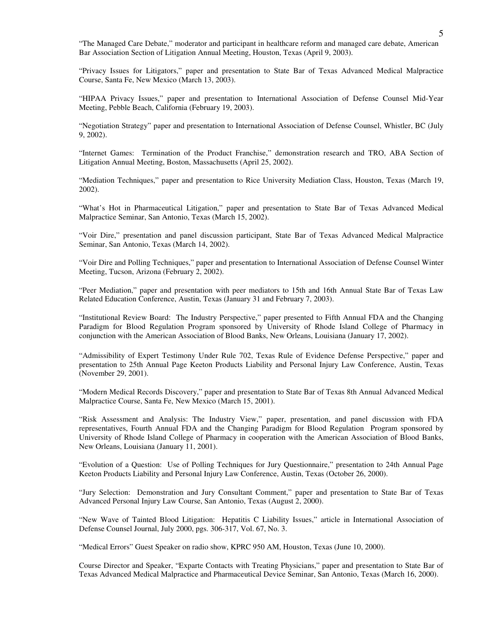"The Managed Care Debate," moderator and participant in healthcare reform and managed care debate, American Bar Association Section of Litigation Annual Meeting, Houston, Texas (April 9, 2003).

"Privacy Issues for Litigators," paper and presentation to State Bar of Texas Advanced Medical Malpractice Course, Santa Fe, New Mexico (March 13, 2003).

"HIPAA Privacy Issues," paper and presentation to International Association of Defense Counsel Mid-Year Meeting, Pebble Beach, California (February 19, 2003).

"Negotiation Strategy" paper and presentation to International Association of Defense Counsel, Whistler, BC (July 9, 2002).

"Internet Games: Termination of the Product Franchise," demonstration research and TRO, ABA Section of Litigation Annual Meeting, Boston, Massachusetts (April 25, 2002).

"Mediation Techniques," paper and presentation to Rice University Mediation Class, Houston, Texas (March 19, 2002).

"What's Hot in Pharmaceutical Litigation," paper and presentation to State Bar of Texas Advanced Medical Malpractice Seminar, San Antonio, Texas (March 15, 2002).

"Voir Dire," presentation and panel discussion participant, State Bar of Texas Advanced Medical Malpractice Seminar, San Antonio, Texas (March 14, 2002).

"Voir Dire and Polling Techniques," paper and presentation to International Association of Defense Counsel Winter Meeting, Tucson, Arizona (February 2, 2002).

"Peer Mediation," paper and presentation with peer mediators to 15th and 16th Annual State Bar of Texas Law Related Education Conference, Austin, Texas (January 31 and February 7, 2003).

"Institutional Review Board: The Industry Perspective," paper presented to Fifth Annual FDA and the Changing Paradigm for Blood Regulation Program sponsored by University of Rhode Island College of Pharmacy in conjunction with the American Association of Blood Banks, New Orleans, Louisiana (January 17, 2002).

"Admissibility of Expert Testimony Under Rule 702, Texas Rule of Evidence Defense Perspective," paper and presentation to 25th Annual Page Keeton Products Liability and Personal Injury Law Conference, Austin, Texas (November 29, 2001).

"Modern Medical Records Discovery," paper and presentation to State Bar of Texas 8th Annual Advanced Medical Malpractice Course, Santa Fe, New Mexico (March 15, 2001).

"Risk Assessment and Analysis: The Industry View," paper, presentation, and panel discussion with FDA representatives, Fourth Annual FDA and the Changing Paradigm for Blood Regulation Program sponsored by University of Rhode Island College of Pharmacy in cooperation with the American Association of Blood Banks, New Orleans, Louisiana (January 11, 2001).

"Evolution of a Question: Use of Polling Techniques for Jury Questionnaire," presentation to 24th Annual Page Keeton Products Liability and Personal Injury Law Conference, Austin, Texas (October 26, 2000).

"Jury Selection: Demonstration and Jury Consultant Comment," paper and presentation to State Bar of Texas Advanced Personal Injury Law Course, San Antonio, Texas (August 2, 2000).

"New Wave of Tainted Blood Litigation: Hepatitis C Liability Issues," article in International Association of Defense Counsel Journal, July 2000, pgs. 306-317, Vol. 67, No. 3.

"Medical Errors" Guest Speaker on radio show, KPRC 950 AM, Houston, Texas (June 10, 2000).

Course Director and Speaker, "Exparte Contacts with Treating Physicians," paper and presentation to State Bar of Texas Advanced Medical Malpractice and Pharmaceutical Device Seminar, San Antonio, Texas (March 16, 2000).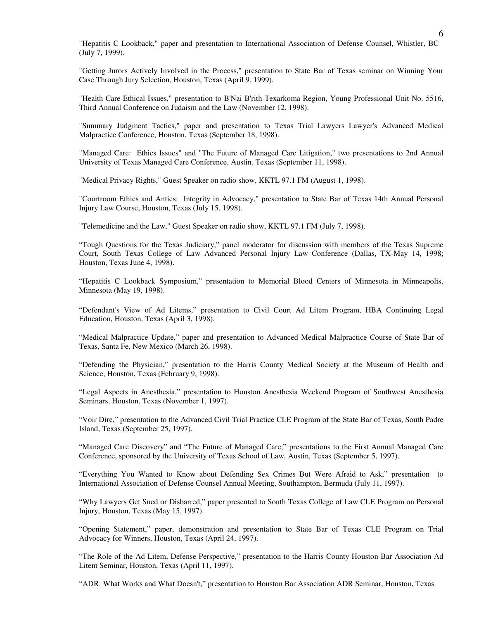"Hepatitis C Lookback," paper and presentation to International Association of Defense Counsel, Whistler, BC (July 7, 1999).

"Getting Jurors Actively Involved in the Process," presentation to State Bar of Texas seminar on Winning Your Case Through Jury Selection, Houston, Texas (April 9, 1999).

"Health Care Ethical Issues," presentation to B'Nai B'rith Texarkoma Region, Young Professional Unit No. 5516, Third Annual Conference on Judaism and the Law (November 12, 1998).

"Summary Judgment Tactics," paper and presentation to Texas Trial Lawyers Lawyer's Advanced Medical Malpractice Conference, Houston, Texas (September 18, 1998).

"Managed Care: Ethics Issues" and "The Future of Managed Care Litigation," two presentations to 2nd Annual University of Texas Managed Care Conference, Austin, Texas (September 11, 1998).

"Medical Privacy Rights," Guest Speaker on radio show, KKTL 97.1 FM (August 1, 1998).

"Courtroom Ethics and Antics: Integrity in Advocacy," presentation to State Bar of Texas 14th Annual Personal Injury Law Course, Houston, Texas (July 15, 1998).

"Telemedicine and the Law," Guest Speaker on radio show, KKTL 97.1 FM (July 7, 1998).

"Tough Questions for the Texas Judiciary," panel moderator for discussion with members of the Texas Supreme Court, South Texas College of Law Advanced Personal Injury Law Conference (Dallas, TX-May 14, 1998; Houston, Texas June 4, 1998).

"Hepatitis C Lookback Symposium," presentation to Memorial Blood Centers of Minnesota in Minneapolis, Minnesota (May 19, 1998).

"Defendant's View of Ad Litems," presentation to Civil Court Ad Litem Program, HBA Continuing Legal Education, Houston, Texas (April 3, 1998).

"Medical Malpractice Update," paper and presentation to Advanced Medical Malpractice Course of State Bar of Texas, Santa Fe, New Mexico (March 26, 1998).

"Defending the Physician," presentation to the Harris County Medical Society at the Museum of Health and Science, Houston, Texas (February 9, 1998).

"Legal Aspects in Anesthesia," presentation to Houston Anesthesia Weekend Program of Southwest Anesthesia Seminars, Houston, Texas (November 1, 1997).

"Voir Dire," presentation to the Advanced Civil Trial Practice CLE Program of the State Bar of Texas, South Padre Island, Texas (September 25, 1997).

"Managed Care Discovery" and "The Future of Managed Care," presentations to the First Annual Managed Care Conference, sponsored by the University of Texas School of Law, Austin, Texas (September 5, 1997).

"Everything You Wanted to Know about Defending Sex Crimes But Were Afraid to Ask," presentation to International Association of Defense Counsel Annual Meeting, Southampton, Bermuda (July 11, 1997).

"Why Lawyers Get Sued or Disbarred," paper presented to South Texas College of Law CLE Program on Personal Injury, Houston, Texas (May 15, 1997).

"Opening Statement," paper, demonstration and presentation to State Bar of Texas CLE Program on Trial Advocacy for Winners, Houston, Texas (April 24, 1997).

"The Role of the Ad Litem, Defense Perspective," presentation to the Harris County Houston Bar Association Ad Litem Seminar, Houston, Texas (April 11, 1997).

"ADR: What Works and What Doesn't," presentation to Houston Bar Association ADR Seminar, Houston, Texas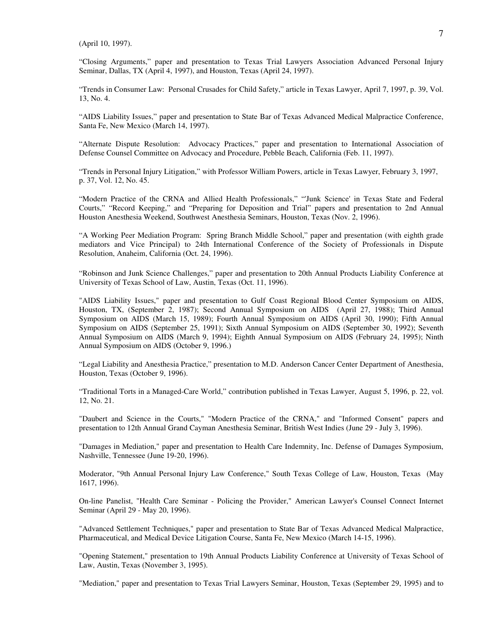(April 10, 1997).

"Closing Arguments," paper and presentation to Texas Trial Lawyers Association Advanced Personal Injury Seminar, Dallas, TX (April 4, 1997), and Houston, Texas (April 24, 1997).

"Trends in Consumer Law: Personal Crusades for Child Safety," article in Texas Lawyer, April 7, 1997, p. 39, Vol. 13, No. 4.

"AIDS Liability Issues," paper and presentation to State Bar of Texas Advanced Medical Malpractice Conference, Santa Fe, New Mexico (March 14, 1997).

"Alternate Dispute Resolution: Advocacy Practices," paper and presentation to International Association of Defense Counsel Committee on Advocacy and Procedure, Pebble Beach, California (Feb. 11, 1997).

"Trends in Personal Injury Litigation," with Professor William Powers, article in Texas Lawyer, February 3, 1997, p. 37, Vol. 12, No. 45.

"Modern Practice of the CRNA and Allied Health Professionals," "'Junk Science' in Texas State and Federal Courts," "Record Keeping," and "Preparing for Deposition and Trial" papers and presentation to 2nd Annual Houston Anesthesia Weekend, Southwest Anesthesia Seminars, Houston, Texas (Nov. 2, 1996).

"A Working Peer Mediation Program: Spring Branch Middle School," paper and presentation (with eighth grade mediators and Vice Principal) to 24th International Conference of the Society of Professionals in Dispute Resolution, Anaheim, California (Oct. 24, 1996).

"Robinson and Junk Science Challenges," paper and presentation to 20th Annual Products Liability Conference at University of Texas School of Law, Austin, Texas (Oct. 11, 1996).

"AIDS Liability Issues," paper and presentation to Gulf Coast Regional Blood Center Symposium on AIDS, Houston, TX, (September 2, 1987); Second Annual Symposium on AIDS (April 27, 1988); Third Annual Symposium on AIDS (March 15, 1989); Fourth Annual Symposium on AIDS (April 30, 1990); Fifth Annual Symposium on AIDS (September 25, 1991); Sixth Annual Symposium on AIDS (September 30, 1992); Seventh Annual Symposium on AIDS (March 9, 1994); Eighth Annual Symposium on AIDS (February 24, 1995); Ninth Annual Symposium on AIDS (October 9, 1996.)

"Legal Liability and Anesthesia Practice," presentation to M.D. Anderson Cancer Center Department of Anesthesia, Houston, Texas (October 9, 1996).

"Traditional Torts in a Managed-Care World," contribution published in Texas Lawyer, August 5, 1996, p. 22, vol. 12, No. 21.

"Daubert and Science in the Courts," "Modern Practice of the CRNA," and "Informed Consent" papers and presentation to 12th Annual Grand Cayman Anesthesia Seminar, British West Indies (June 29 - July 3, 1996).

"Damages in Mediation," paper and presentation to Health Care Indemnity, Inc. Defense of Damages Symposium, Nashville, Tennessee (June 19-20, 1996).

Moderator, "9th Annual Personal Injury Law Conference," South Texas College of Law, Houston, Texas (May 1617, 1996).

On-line Panelist, "Health Care Seminar - Policing the Provider," American Lawyer's Counsel Connect Internet Seminar (April 29 - May 20, 1996).

"Advanced Settlement Techniques," paper and presentation to State Bar of Texas Advanced Medical Malpractice, Pharmaceutical, and Medical Device Litigation Course, Santa Fe, New Mexico (March 14-15, 1996).

"Opening Statement," presentation to 19th Annual Products Liability Conference at University of Texas School of Law, Austin, Texas (November 3, 1995).

"Mediation," paper and presentation to Texas Trial Lawyers Seminar, Houston, Texas (September 29, 1995) and to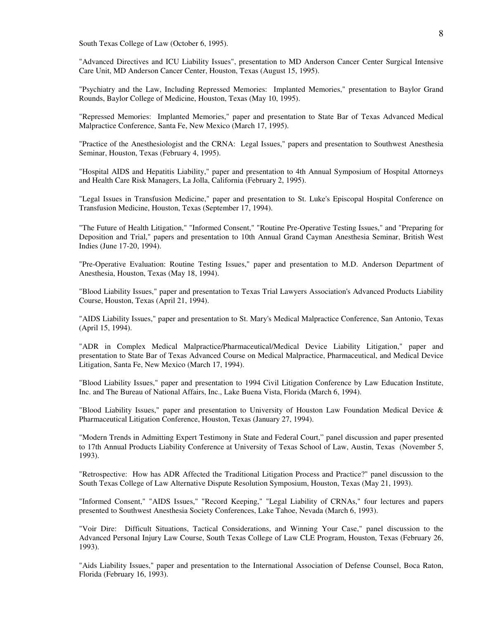South Texas College of Law (October 6, 1995).

"Advanced Directives and ICU Liability Issues", presentation to MD Anderson Cancer Center Surgical Intensive Care Unit, MD Anderson Cancer Center, Houston, Texas (August 15, 1995).

"Psychiatry and the Law, Including Repressed Memories: Implanted Memories," presentation to Baylor Grand Rounds, Baylor College of Medicine, Houston, Texas (May 10, 1995).

"Repressed Memories: Implanted Memories," paper and presentation to State Bar of Texas Advanced Medical Malpractice Conference, Santa Fe, New Mexico (March 17, 1995).

"Practice of the Anesthesiologist and the CRNA: Legal Issues," papers and presentation to Southwest Anesthesia Seminar, Houston, Texas (February 4, 1995).

"Hospital AIDS and Hepatitis Liability," paper and presentation to 4th Annual Symposium of Hospital Attorneys and Health Care Risk Managers, La Jolla, California (February 2, 1995).

"Legal Issues in Transfusion Medicine," paper and presentation to St. Luke's Episcopal Hospital Conference on Transfusion Medicine, Houston, Texas (September 17, 1994).

"The Future of Health Litigation," "Informed Consent," "Routine Pre-Operative Testing Issues," and "Preparing for Deposition and Trial," papers and presentation to 10th Annual Grand Cayman Anesthesia Seminar, British West Indies (June 17-20, 1994).

"Pre-Operative Evaluation: Routine Testing Issues," paper and presentation to M.D. Anderson Department of Anesthesia, Houston, Texas (May 18, 1994).

"Blood Liability Issues," paper and presentation to Texas Trial Lawyers Association's Advanced Products Liability Course, Houston, Texas (April 21, 1994).

"AIDS Liability Issues," paper and presentation to St. Mary's Medical Malpractice Conference, San Antonio, Texas (April 15, 1994).

"ADR in Complex Medical Malpractice/Pharmaceutical/Medical Device Liability Litigation," paper and presentation to State Bar of Texas Advanced Course on Medical Malpractice, Pharmaceutical, and Medical Device Litigation, Santa Fe, New Mexico (March 17, 1994).

"Blood Liability Issues," paper and presentation to 1994 Civil Litigation Conference by Law Education Institute, Inc. and The Bureau of National Affairs, Inc., Lake Buena Vista, Florida (March 6, 1994).

"Blood Liability Issues," paper and presentation to University of Houston Law Foundation Medical Device & Pharmaceutical Litigation Conference, Houston, Texas (January 27, 1994).

"Modern Trends in Admitting Expert Testimony in State and Federal Court," panel discussion and paper presented to 17th Annual Products Liability Conference at University of Texas School of Law, Austin, Texas (November 5, 1993).

"Retrospective: How has ADR Affected the Traditional Litigation Process and Practice?" panel discussion to the South Texas College of Law Alternative Dispute Resolution Symposium, Houston, Texas (May 21, 1993).

"Informed Consent," "AIDS Issues," "Record Keeping," "Legal Liability of CRNAs," four lectures and papers presented to Southwest Anesthesia Society Conferences, Lake Tahoe, Nevada (March 6, 1993).

"Voir Dire: Difficult Situations, Tactical Considerations, and Winning Your Case," panel discussion to the Advanced Personal Injury Law Course, South Texas College of Law CLE Program, Houston, Texas (February 26, 1993).

"Aids Liability Issues," paper and presentation to the International Association of Defense Counsel, Boca Raton, Florida (February 16, 1993).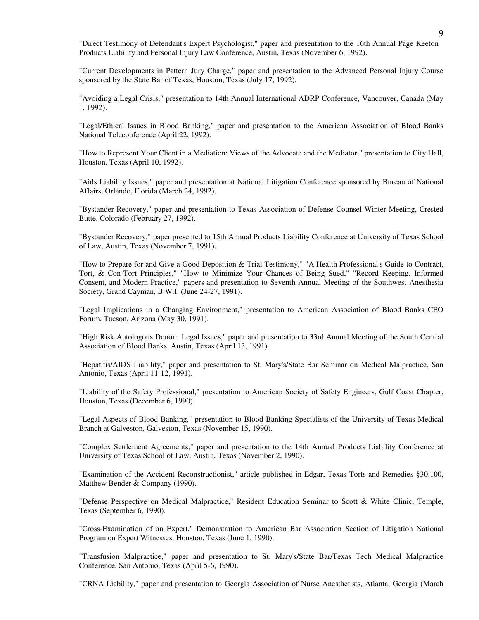"Direct Testimony of Defendant's Expert Psychologist," paper and presentation to the 16th Annual Page Keeton Products Liability and Personal Injury Law Conference, Austin, Texas (November 6, 1992).

"Current Developments in Pattern Jury Charge," paper and presentation to the Advanced Personal Injury Course sponsored by the State Bar of Texas, Houston, Texas (July 17, 1992).

"Avoiding a Legal Crisis," presentation to 14th Annual International ADRP Conference, Vancouver, Canada (May 1, 1992).

"Legal/Ethical Issues in Blood Banking," paper and presentation to the American Association of Blood Banks National Teleconference (April 22, 1992).

"How to Represent Your Client in a Mediation: Views of the Advocate and the Mediator," presentation to City Hall, Houston, Texas (April 10, 1992).

"Aids Liability Issues," paper and presentation at National Litigation Conference sponsored by Bureau of National Affairs, Orlando, Florida (March 24, 1992).

"Bystander Recovery," paper and presentation to Texas Association of Defense Counsel Winter Meeting, Crested Butte, Colorado (February 27, 1992).

"Bystander Recovery," paper presented to 15th Annual Products Liability Conference at University of Texas School of Law, Austin, Texas (November 7, 1991).

"How to Prepare for and Give a Good Deposition & Trial Testimony," "A Health Professional's Guide to Contract, Tort, & Con-Tort Principles," "How to Minimize Your Chances of Being Sued," "Record Keeping, Informed Consent, and Modern Practice," papers and presentation to Seventh Annual Meeting of the Southwest Anesthesia Society, Grand Cayman, B.W.I. (June 24-27, 1991).

"Legal Implications in a Changing Environment," presentation to American Association of Blood Banks CEO Forum, Tucson, Arizona (May 30, 1991).

"High Risk Autologous Donor: Legal Issues," paper and presentation to 33rd Annual Meeting of the South Central Association of Blood Banks, Austin, Texas (April 13, 1991).

"Hepatitis/AIDS Liability," paper and presentation to St. Mary's/State Bar Seminar on Medical Malpractice, San Antonio, Texas (April 11-12, 1991).

"Liability of the Safety Professional," presentation to American Society of Safety Engineers, Gulf Coast Chapter, Houston, Texas (December 6, 1990).

"Legal Aspects of Blood Banking," presentation to Blood-Banking Specialists of the University of Texas Medical Branch at Galveston, Galveston, Texas (November 15, 1990).

"Complex Settlement Agreements," paper and presentation to the 14th Annual Products Liability Conference at University of Texas School of Law, Austin, Texas (November 2, 1990).

"Examination of the Accident Reconstructionist," article published in Edgar, Texas Torts and Remedies §30.100, Matthew Bender & Company (1990).

"Defense Perspective on Medical Malpractice," Resident Education Seminar to Scott & White Clinic, Temple, Texas (September 6, 1990).

"Cross-Examination of an Expert," Demonstration to American Bar Association Section of Litigation National Program on Expert Witnesses, Houston, Texas (June 1, 1990).

"Transfusion Malpractice," paper and presentation to St. Mary's/State Bar/Texas Tech Medical Malpractice Conference, San Antonio, Texas (April 5-6, 1990).

"CRNA Liability," paper and presentation to Georgia Association of Nurse Anesthetists, Atlanta, Georgia (March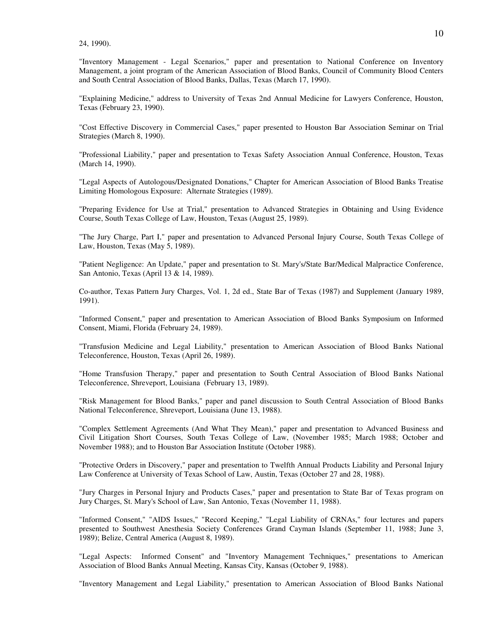24, 1990).

"Inventory Management - Legal Scenarios," paper and presentation to National Conference on Inventory Management, a joint program of the American Association of Blood Banks, Council of Community Blood Centers and South Central Association of Blood Banks, Dallas, Texas (March 17, 1990).

"Explaining Medicine," address to University of Texas 2nd Annual Medicine for Lawyers Conference, Houston, Texas (February 23, 1990).

"Cost Effective Discovery in Commercial Cases," paper presented to Houston Bar Association Seminar on Trial Strategies (March 8, 1990).

"Professional Liability," paper and presentation to Texas Safety Association Annual Conference, Houston, Texas (March 14, 1990).

"Legal Aspects of Autologous/Designated Donations," Chapter for American Association of Blood Banks Treatise Limiting Homologous Exposure: Alternate Strategies (1989).

"Preparing Evidence for Use at Trial," presentation to Advanced Strategies in Obtaining and Using Evidence Course, South Texas College of Law, Houston, Texas (August 25, 1989).

"The Jury Charge, Part I," paper and presentation to Advanced Personal Injury Course, South Texas College of Law, Houston, Texas (May 5, 1989).

"Patient Negligence: An Update," paper and presentation to St. Mary's/State Bar/Medical Malpractice Conference, San Antonio, Texas (April 13 & 14, 1989).

Co-author, Texas Pattern Jury Charges, Vol. 1, 2d ed., State Bar of Texas (1987) and Supplement (January 1989, 1991).

"Informed Consent," paper and presentation to American Association of Blood Banks Symposium on Informed Consent, Miami, Florida (February 24, 1989).

"Transfusion Medicine and Legal Liability," presentation to American Association of Blood Banks National Teleconference, Houston, Texas (April 26, 1989).

"Home Transfusion Therapy," paper and presentation to South Central Association of Blood Banks National Teleconference, Shreveport, Louisiana (February 13, 1989).

"Risk Management for Blood Banks," paper and panel discussion to South Central Association of Blood Banks National Teleconference, Shreveport, Louisiana (June 13, 1988).

"Complex Settlement Agreements (And What They Mean)," paper and presentation to Advanced Business and Civil Litigation Short Courses, South Texas College of Law, (November 1985; March 1988; October and November 1988); and to Houston Bar Association Institute (October 1988).

"Protective Orders in Discovery," paper and presentation to Twelfth Annual Products Liability and Personal Injury Law Conference at University of Texas School of Law, Austin, Texas (October 27 and 28, 1988).

"Jury Charges in Personal Injury and Products Cases," paper and presentation to State Bar of Texas program on Jury Charges, St. Mary's School of Law, San Antonio, Texas (November 11, 1988).

"Informed Consent," "AIDS Issues," "Record Keeping," "Legal Liability of CRNAs," four lectures and papers presented to Southwest Anesthesia Society Conferences Grand Cayman Islands (September 11, 1988; June 3, 1989); Belize, Central America (August 8, 1989).

"Legal Aspects: Informed Consent" and "Inventory Management Techniques," presentations to American Association of Blood Banks Annual Meeting, Kansas City, Kansas (October 9, 1988).

"Inventory Management and Legal Liability," presentation to American Association of Blood Banks National